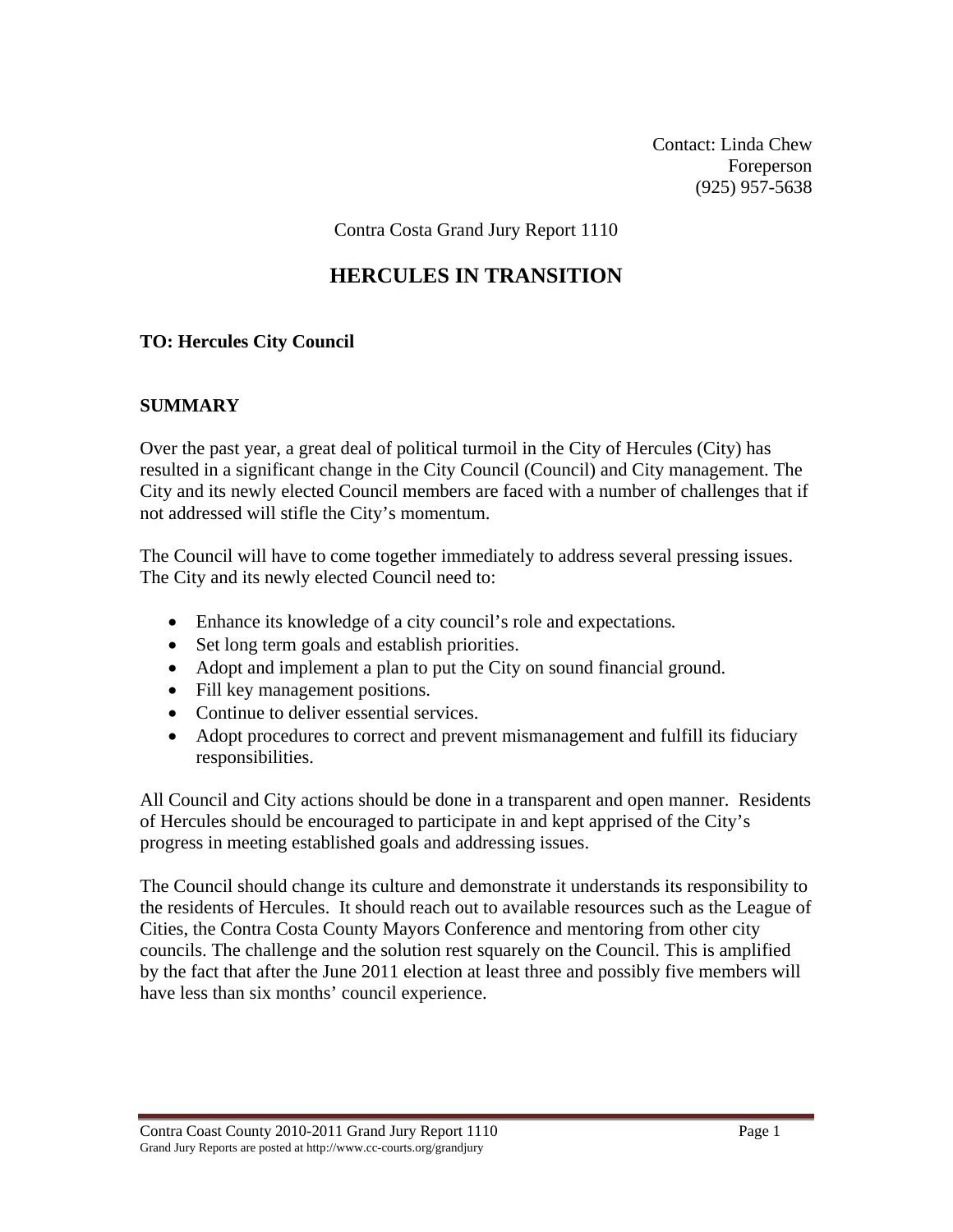Contact: Linda Chew Foreperson (925) 957-5638

Contra Costa Grand Jury Report 1110

## **HERCULES IN TRANSITION**

### **TO: Hercules City Council**

### **SUMMARY**

Over the past year, a great deal of political turmoil in the City of Hercules (City) has resulted in a significant change in the City Council (Council) and City management. The City and its newly elected Council members are faced with a number of challenges that if not addressed will stifle the City's momentum.

The Council will have to come together immediately to address several pressing issues. The City and its newly elected Council need to:

- Enhance its knowledge of a city council's role and expectations*.*
- Set long term goals and establish priorities.
- Adopt and implement a plan to put the City on sound financial ground.
- Fill key management positions.
- Continue to deliver essential services.
- Adopt procedures to correct and prevent mismanagement and fulfill its fiduciary responsibilities.

All Council and City actions should be done in a transparent and open manner. Residents of Hercules should be encouraged to participate in and kept apprised of the City's progress in meeting established goals and addressing issues.

The Council should change its culture and demonstrate it understands its responsibility to the residents of Hercules. It should reach out to available resources such as the League of Cities, the Contra Costa County Mayors Conference and mentoring from other city councils. The challenge and the solution rest squarely on the Council. This is amplified by the fact that after the June 2011 election at least three and possibly five members will have less than six months' council experience.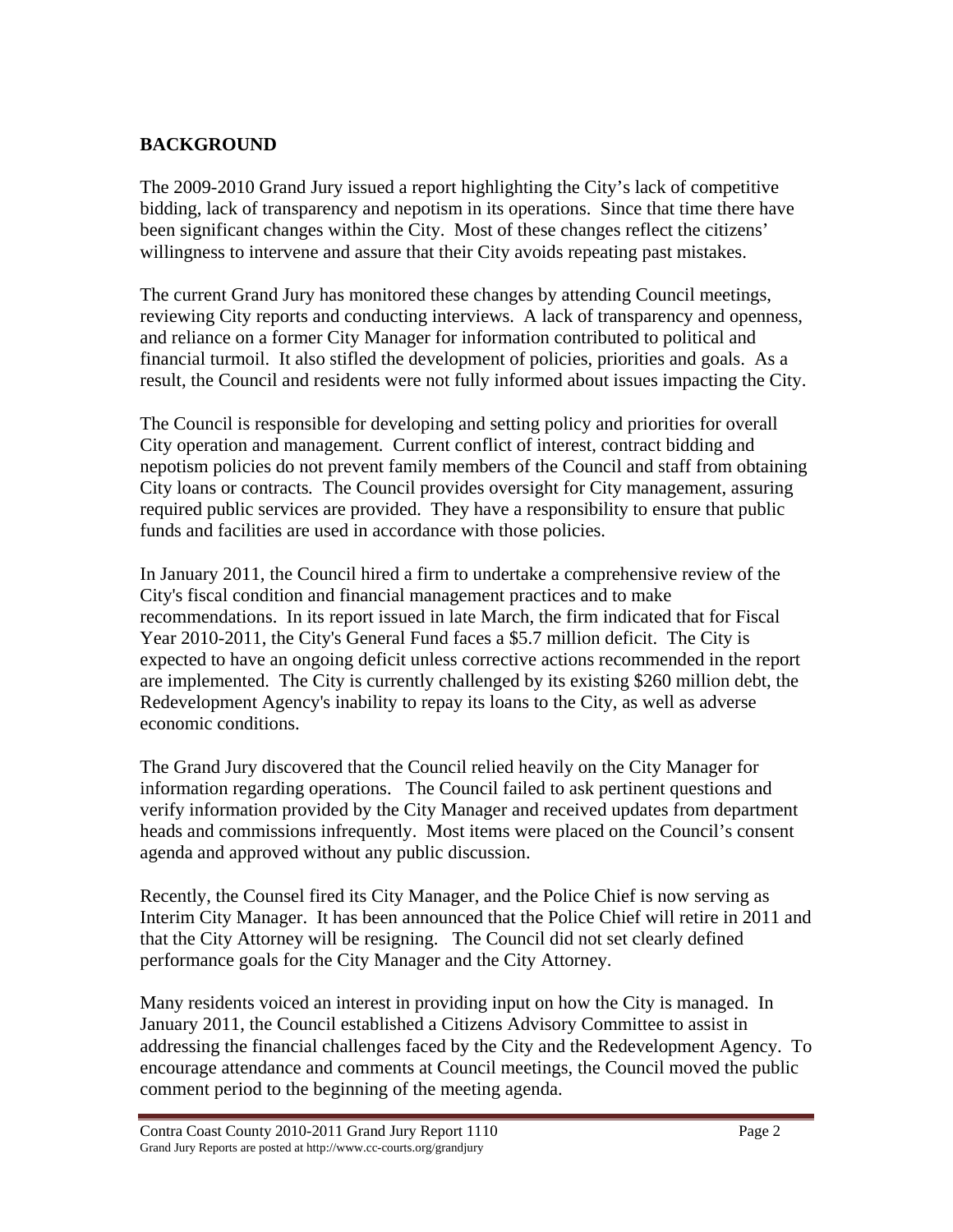## **BACKGROUND**

The 2009-2010 Grand Jury issued a report highlighting the City's lack of competitive bidding, lack of transparency and nepotism in its operations. Since that time there have been significant changes within the City. Most of these changes reflect the citizens' willingness to intervene and assure that their City avoids repeating past mistakes.

The current Grand Jury has monitored these changes by attending Council meetings, reviewing City reports and conducting interviews. A lack of transparency and openness, and reliance on a former City Manager for information contributed to political and financial turmoil. It also stifled the development of policies, priorities and goals. As a result, the Council and residents were not fully informed about issues impacting the City.

The Council is responsible for developing and setting policy and priorities for overall City operation and management*.* Current conflict of interest, contract bidding and nepotism policies do not prevent family members of the Council and staff from obtaining City loans or contracts*.* The Council provides oversight for City management, assuring required public services are provided. They have a responsibility to ensure that public funds and facilities are used in accordance with those policies.

In January 2011, the Council hired a firm to undertake a comprehensive review of the City's fiscal condition and financial management practices and to make recommendations. In its report issued in late March, the firm indicated that for Fiscal Year 2010-2011, the City's General Fund faces a \$5.7 million deficit. The City is expected to have an ongoing deficit unless corrective actions recommended in the report are implemented. The City is currently challenged by its existing \$260 million debt, the Redevelopment Agency's inability to repay its loans to the City, as well as adverse economic conditions.

The Grand Jury discovered that the Council relied heavily on the City Manager for information regarding operations. The Council failed to ask pertinent questions and verify information provided by the City Manager and received updates from department heads and commissions infrequently. Most items were placed on the Council's consent agenda and approved without any public discussion.

Recently, the Counsel fired its City Manager, and the Police Chief is now serving as Interim City Manager. It has been announced that the Police Chief will retire in 2011 and that the City Attorney will be resigning. The Council did not set clearly defined performance goals for the City Manager and the City Attorney.

Many residents voiced an interest in providing input on how the City is managed. In January 2011, the Council established a Citizens Advisory Committee to assist in addressing the financial challenges faced by the City and the Redevelopment Agency. To encourage attendance and comments at Council meetings, the Council moved the public comment period to the beginning of the meeting agenda.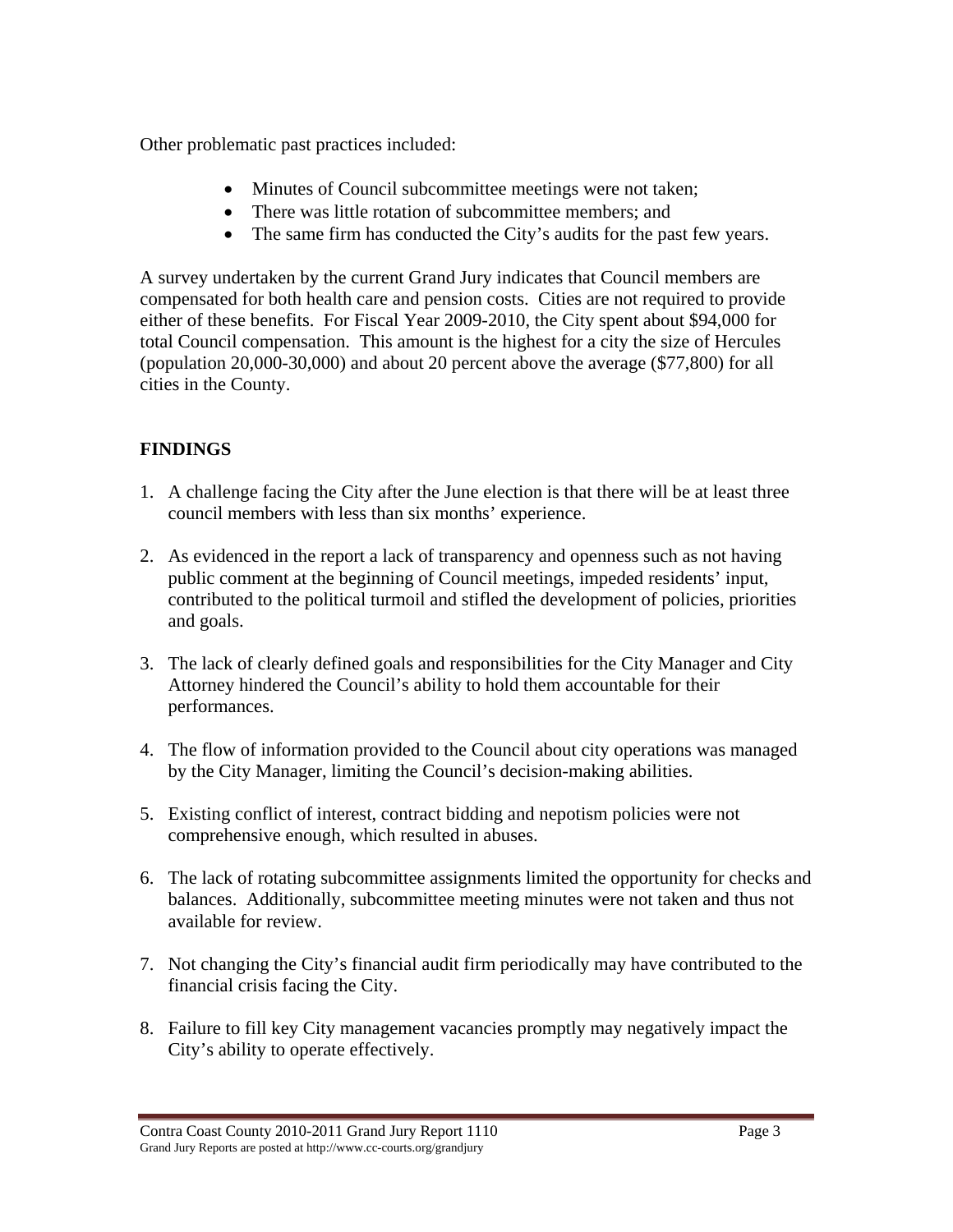Other problematic past practices included:

- Minutes of Council subcommittee meetings were not taken;
- There was little rotation of subcommittee members; and
- The same firm has conducted the City's audits for the past few years.

A survey undertaken by the current Grand Jury indicates that Council members are compensated for both health care and pension costs. Cities are not required to provide either of these benefits. For Fiscal Year 2009-2010, the City spent about \$94,000 for total Council compensation. This amount is the highest for a city the size of Hercules (population 20,000-30,000) and about 20 percent above the average (\$77,800) for all cities in the County.

# **FINDINGS**

- 1. A challenge facing the City after the June election is that there will be at least three council members with less than six months' experience.
- 2. As evidenced in the report a lack of transparency and openness such as not having public comment at the beginning of Council meetings, impeded residents' input, contributed to the political turmoil and stifled the development of policies, priorities and goals.
- 3. The lack of clearly defined goals and responsibilities for the City Manager and City Attorney hindered the Council's ability to hold them accountable for their performances.
- 4. The flow of information provided to the Council about city operations was managed by the City Manager, limiting the Council's decision-making abilities.
- 5. Existing conflict of interest, contract bidding and nepotism policies were not comprehensive enough, which resulted in abuses.
- 6. The lack of rotating subcommittee assignments limited the opportunity for checks and balances. Additionally, subcommittee meeting minutes were not taken and thus not available for review.
- 7. Not changing the City's financial audit firm periodically may have contributed to the financial crisis facing the City.
- 8. Failure to fill key City management vacancies promptly may negatively impact the City's ability to operate effectively.